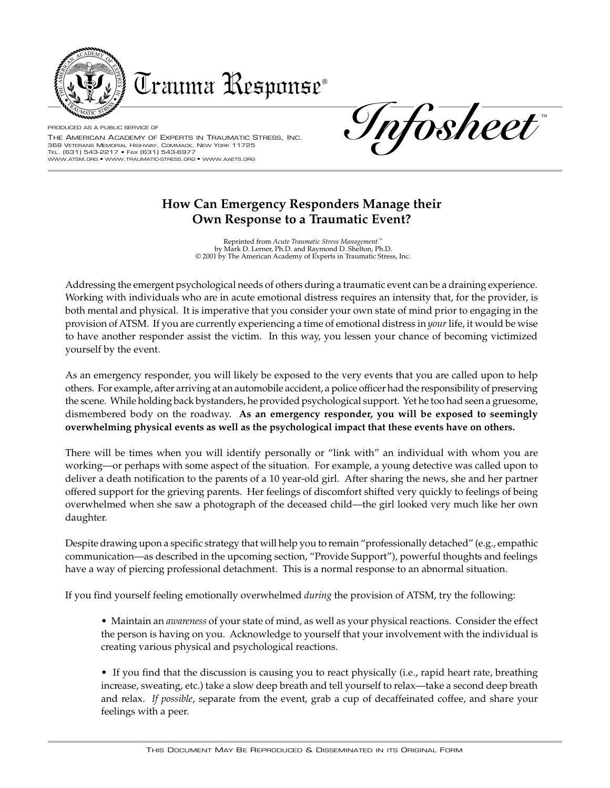

Trauma Response®

PRODUCED AS A PUBLIC SERVICE OF THE AMERICAN ACADEMY OF EXPERTS IN TRAUMATIC STRESS, INC. 368 VETERANS MEMORIAL HIGHWAY, COMMACK, NEW YORK 11725 TEL. (631) 543-2217 • FAX (631) 543-6977 WWW.ATSM.ORG • WWW.TRAUMATIC-STRESS.ORG • WWW.AAETS.ORG

TM **Infosheet**

## **How Can Emergency Responders Manage their Own Response to a Traumatic Event?**

Reprinted from *Acute Traumatic Stress Management™* by Mark D. Lerner, Ph.D. and Raymond D. Shelton, Ph.D. © 2001 by The American Academy of Experts in Traumatic Stress, Inc.

Addressing the emergent psychological needs of others during a traumatic event can be a draining experience. Working with individuals who are in acute emotional distress requires an intensity that, for the provider, is both mental and physical. It is imperative that you consider your own state of mind prior to engaging in the provision of ATSM. If you are currently experiencing a time of emotional distress in *your* life, it would be wise to have another responder assist the victim. In this way, you lessen your chance of becoming victimized yourself by the event.

As an emergency responder, you will likely be exposed to the very events that you are called upon to help others. For example, after arriving at an automobile accident, a police officer had the responsibility of preserving the scene. While holding back bystanders, he provided psychological support. Yet he too had seen a gruesome, dismembered body on the roadway. **As an emergency responder, you will be exposed to seemingly overwhelming physical events as well as the psychological impact that these events have on others.**

There will be times when you will identify personally or "link with" an individual with whom you are working—or perhaps with some aspect of the situation. For example, a young detective was called upon to deliver a death notification to the parents of a 10 year-old girl. After sharing the news, she and her partner offered support for the grieving parents. Her feelings of discomfort shifted very quickly to feelings of being overwhelmed when she saw a photograph of the deceased child—the girl looked very much like her own daughter.

Despite drawing upon a specific strategy that will help you to remain "professionally detached" (e.g., empathic communication—as described in the upcoming section, "Provide Support"), powerful thoughts and feelings have a way of piercing professional detachment. This is a normal response to an abnormal situation.

If you find yourself feeling emotionally overwhelmed *during* the provision of ATSM, try the following:

- Maintain an *awareness* of your state of mind, as well as your physical reactions. Consider the effect the person is having on you. Acknowledge to yourself that your involvement with the individual is creating various physical and psychological reactions.
- If you find that the discussion is causing you to react physically (i.e., rapid heart rate, breathing increase, sweating, etc.) take a slow deep breath and tell yourself to relax—take a second deep breath and relax. *If possible*, separate from the event, grab a cup of decaffeinated coffee, and share your feelings with a peer.